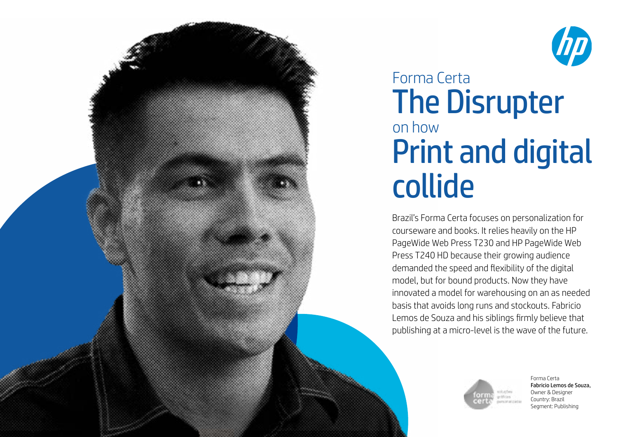



# Forma Certa on how The Disrupter Print and digital collide

Brazil's Forma Certa focuses on personalization for courseware and books. It relies heavily on the HP PageWide Web Press T230 and HP PageWide Web Press T240 HD because their growing audience demanded the speed and flexibility of the digital model, but for bound products. Now they have innovated a model for warehousing on an as needed basis that avoids long runs and stockouts. Fabricio Lemos de Souza and his siblings firmly believe that publishing at a micro-level is the wave of the future.



Forma Certa Fabricio Lemos de Souza, Owner & Designer Country: Brazil Segment: Publishing